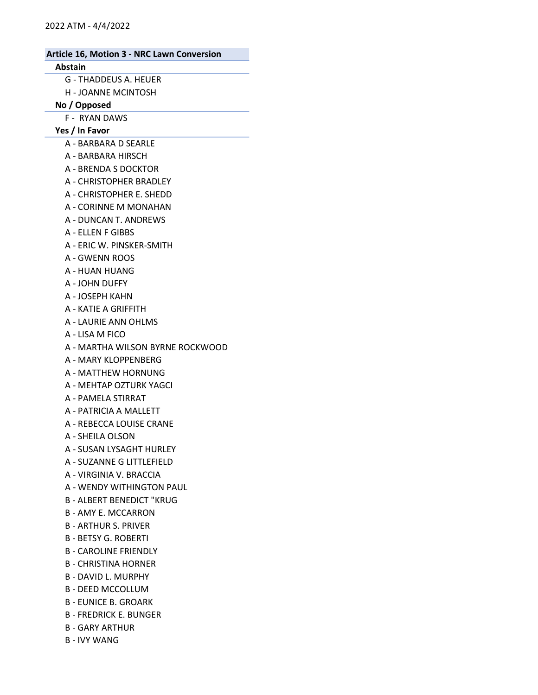#### Abstain

- G THADDEUS A. HEUER
- H JOANNE MCINTOSH

#### No / Opposed

F - RYAN DAWS

Yes / In Favor

- A BARBARA D SEARLE
- A BARBARA HIRSCH
- A BRENDA S DOCKTOR
- A CHRISTOPHER BRADLEY
- A CHRISTOPHER E. SHEDD
- A CORINNE M MONAHAN
- A DUNCAN T. ANDREWS
- A ELLEN F GIBBS
- A ERIC W. PINSKER-SMITH
- A GWENN ROOS
- A HUAN HUANG
- A JOHN DUFFY
- A JOSEPH KAHN
- A KATIE A GRIFFITH
- A LAURIE ANN OHLMS
- A LISA M FICO
- A MARTHA WILSON BYRNE ROCKWOOD
- A MARY KLOPPENBERG
- A MATTHEW HORNUNG
- A MEHTAP OZTURK YAGCI
- A PAMELA STIRRAT
- A PATRICIA A MALLETT
- A REBECCA LOUISE CRANE
- A SHEILA OLSON
- A SUSAN LYSAGHT HURLEY
- A SUZANNE G LITTLEFIELD
- A VIRGINIA V. BRACCIA
- A WENDY WITHINGTON PAUL
- B ALBERT BENEDICT "KRUG
- B AMY E. MCCARRON
- B ARTHUR S. PRIVER
- B BETSY G. ROBERTI
- B CAROLINE FRIENDLY
- B CHRISTINA HORNER
- B DAVID L. MURPHY
- B DEED MCCOLLUM
- B EUNICE B. GROARK
- B FREDRICK E. BUNGER
- B GARY ARTHUR
- B IVY WANG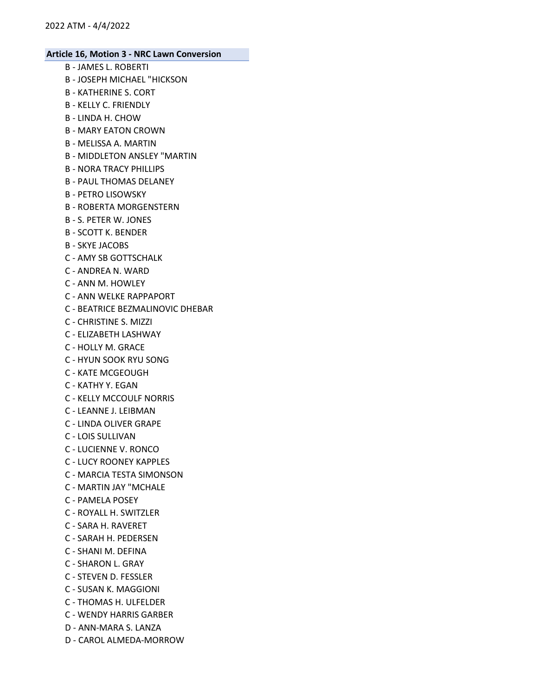- B JAMES L. ROBERTI
- B JOSEPH MICHAEL "HICKSON
- B KATHERINE S. CORT
- B KELLY C. FRIENDLY
- B LINDA H. CHOW
- B MARY EATON CROWN
- B MELISSA A. MARTIN
- B MIDDLETON ANSLEY "MARTIN
- B NORA TRACY PHILLIPS
- B PAUL THOMAS DELANEY
- B PETRO LISOWSKY
- B ROBERTA MORGENSTERN
- B S. PETER W. JONES
- B SCOTT K. BENDER
- B SKYE JACOBS
- C AMY SB GOTTSCHALK
- C ANDREA N. WARD
- C ANN M. HOWLEY
- C ANN WELKE RAPPAPORT
- C BEATRICE BEZMALINOVIC DHEBAR
- C CHRISTINE S. MIZZI
- C ELIZABETH LASHWAY
- C HOLLY M. GRACE
- C HYUN SOOK RYU SONG
- C KATE MCGEOUGH
- C KATHY Y. EGAN
- C KELLY MCCOULF NORRIS
- C LEANNE J. LEIBMAN
- C LINDA OLIVER GRAPE
- C LOIS SULLIVAN
- C LUCIENNE V. RONCO
- C LUCY ROONEY KAPPLES
- C MARCIA TESTA SIMONSON
- C MARTIN JAY "MCHALE
- C PAMELA POSEY
- C ROYALL H. SWITZLER
- C SARA H. RAVERET
- C SARAH H. PEDERSEN
- C SHANI M. DEFINA
- C SHARON L. GRAY
- C STEVEN D. FESSLER
- C SUSAN K. MAGGIONI
- C THOMAS H. ULFELDER
- C WENDY HARRIS GARBER
- D ANN-MARA S. LANZA
- D CAROL ALMEDA-MORROW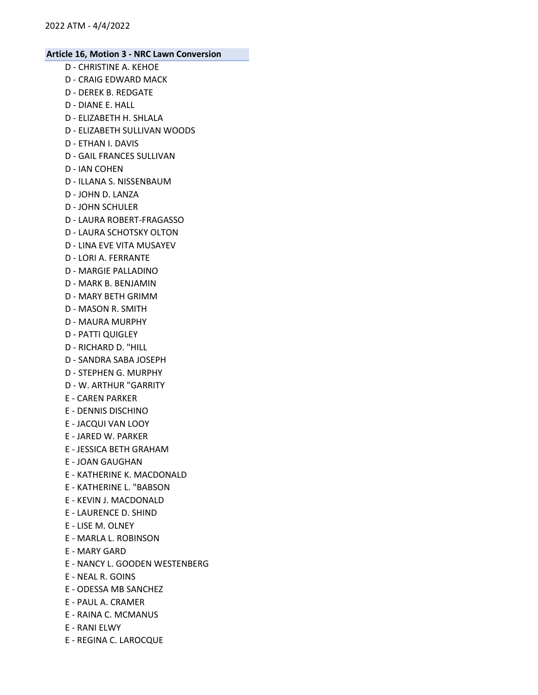- D CHRISTINE A. KEHOE D - CRAIG EDWARD MACK
- D DEREK B. REDGATE
- D DIANE E. HALL
- D ELIZABETH H. SHLALA
- D ELIZABETH SULLIVAN WOODS
- D ETHAN I. DAVIS
- D GAIL FRANCES SULLIVAN
- D IAN COHEN
- D ILLANA S. NISSENBAUM
- D JOHN D. LANZA
- D JOHN SCHULER
- D LAURA ROBERT-FRAGASSO
- D LAURA SCHOTSKY OLTON
- D LINA EVE VITA MUSAYEV
- D LORI A. FERRANTE
- D MARGIE PALLADINO
- D MARK B. BENJAMIN
- D MARY BETH GRIMM
- D MASON R. SMITH
- D MAURA MURPHY
- D PATTI QUIGLEY
- D RICHARD D. "HILL
- D SANDRA SABA JOSEPH
- D STEPHEN G. MURPHY
- D W. ARTHUR "GARRITY
- E CAREN PARKER
- E DENNIS DISCHINO
- E JACQUI VAN LOOY
- E JARED W. PARKER
- E JESSICA BETH GRAHAM
- E JOAN GAUGHAN
- E KATHERINE K. MACDONALD
- E KATHERINE L. "BABSON
- E KEVIN J. MACDONALD
- E LAURENCE D. SHIND
- E LISE M. OLNEY
- E MARLA L. ROBINSON
- E MARY GARD
- E NANCY L. GOODEN WESTENBERG
- E NEAL R. GOINS
- E ODESSA MB SANCHEZ
- E PAUL A. CRAMER
- E RAINA C. MCMANUS
- E RANI ELWY
- E REGINA C. LAROCQUE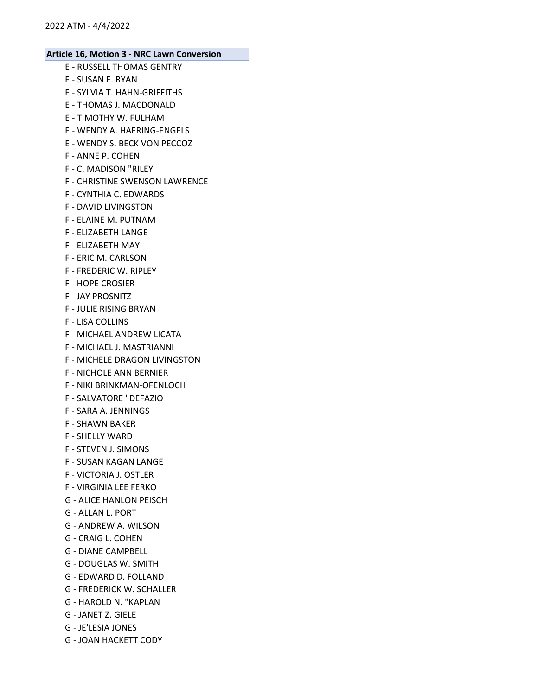- E RUSSELL THOMAS GENTRY
- E SUSAN E. RYAN
- E SYLVIA T. HAHN-GRIFFITHS
- E THOMAS J. MACDONALD
- E TIMOTHY W. FULHAM
- E WENDY A. HAERING-ENGELS
- E WENDY S. BECK VON PECCOZ
- F ANNE P. COHEN
- F C. MADISON "RILEY
- F CHRISTINE SWENSON LAWRENCE
- F CYNTHIA C. EDWARDS
- F DAVID LIVINGSTON
- F ELAINE M. PUTNAM
- F ELIZABETH LANGE
- F ELIZABETH MAY
- F ERIC M. CARLSON
- F FREDERIC W. RIPLEY
- F HOPE CROSIER
- F JAY PROSNITZ
- F JULIE RISING BRYAN
- F LISA COLLINS
- F MICHAEL ANDREW LICATA
- F MICHAEL J. MASTRIANNI
- F MICHELE DRAGON LIVINGSTON
- F NICHOLE ANN BERNIER
- F NIKI BRINKMAN-OFENLOCH
- F SALVATORE "DEFAZIO
- F SARA A. JENNINGS
- F SHAWN BAKER
- F SHELLY WARD
- F STEVEN J. SIMONS
- F SUSAN KAGAN LANGE
- F VICTORIA J. OSTLER
- F VIRGINIA LEE FERKO
- G ALICE HANLON PEISCH
- G ALLAN L. PORT
- G ANDREW A. WILSON
- G CRAIG L. COHEN
- G DIANE CAMPBELL
- G DOUGLAS W. SMITH
- G EDWARD D. FOLLAND
- G FREDERICK W. SCHALLER
- G HAROLD N. "KAPLAN
- G JANET Z. GIELE
- G JE'LESIA JONES
- G JOAN HACKETT CODY